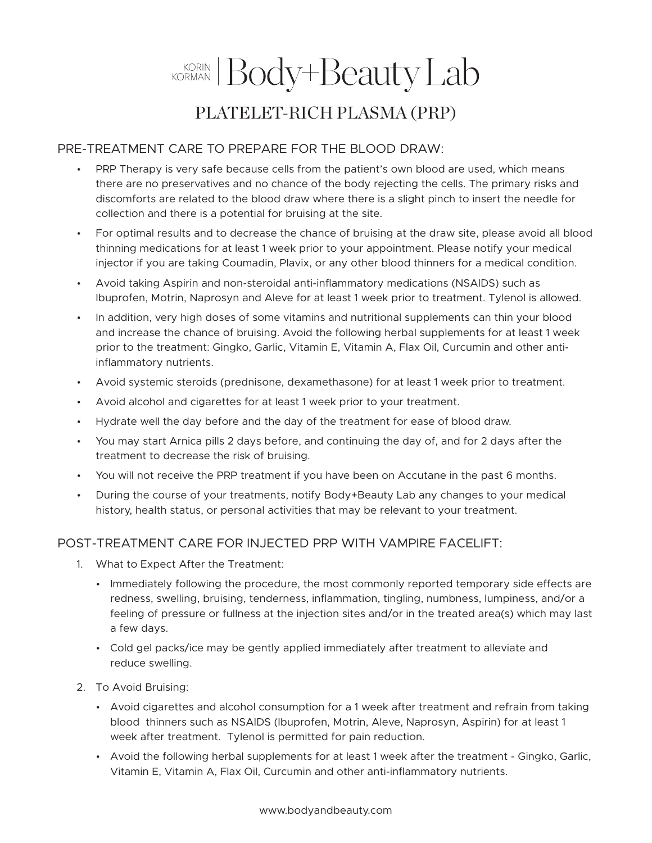## KORMAN Body+Beauty Lab PLATELET-RICH PLASMA (PRP)

## PRE-TREATMENT CARE TO PREPARE FOR THE BLOOD DRAW:

- PRP Therapy is very safe because cells from the patient's own blood are used, which means there are no preservatives and no chance of the body rejecting the cells. The primary risks and discomforts are related to the blood draw where there is a slight pinch to insert the needle for collection and there is a potential for bruising at the site.
- For optimal results and to decrease the chance of bruising at the draw site, please avoid all blood thinning medications for at least 1 week prior to your appointment. Please notify your medical injector if you are taking Coumadin, Plavix, or any other blood thinners for a medical condition.
- Avoid taking Aspirin and non-steroidal anti-inflammatory medications (NSAIDS) such as Ibuprofen, Motrin, Naprosyn and Aleve for at least 1 week prior to treatment. Tylenol is allowed.
- In addition, very high doses of some vitamins and nutritional supplements can thin your blood and increase the chance of bruising. Avoid the following herbal supplements for at least 1 week prior to the treatment: Gingko, Garlic, Vitamin E, Vitamin A, Flax Oil, Curcumin and other antiinflammatory nutrients.
- Avoid systemic steroids (prednisone, dexamethasone) for at least 1 week prior to treatment.
- Avoid alcohol and cigarettes for at least 1 week prior to your treatment.
- Hydrate well the day before and the day of the treatment for ease of blood draw.
- You may start Arnica pills 2 days before, and continuing the day of, and for 2 days after the treatment to decrease the risk of bruising.
- You will not receive the PRP treatment if you have been on Accutane in the past 6 months.
- During the course of your treatments, notify Body+Beauty Lab any changes to your medical history, health status, or personal activities that may be relevant to your treatment.

## POST-TREATMENT CARE FOR INJECTED PRP WITH VAMPIRE FACELIFT:

- 1. What to Expect After the Treatment:
	- Immediately following the procedure, the most commonly reported temporary side effects are redness, swelling, bruising, tenderness, inflammation, tingling, numbness, lumpiness, and/or a feeling of pressure or fullness at the injection sites and/or in the treated area(s) which may last a few days.
	- Cold gel packs/ice may be gently applied immediately after treatment to alleviate and reduce swelling.
- 2. To Avoid Bruising:
	- Avoid cigarettes and alcohol consumption for a 1 week after treatment and refrain from taking blood thinners such as NSAIDS (Ibuprofen, Motrin, Aleve, Naprosyn, Aspirin) for at least 1 week after treatment. Tylenol is permitted for pain reduction.
	- Avoid the following herbal supplements for at least 1 week after the treatment Gingko, Garlic, Vitamin E, Vitamin A, Flax Oil, Curcumin and other anti-inflammatory nutrients.